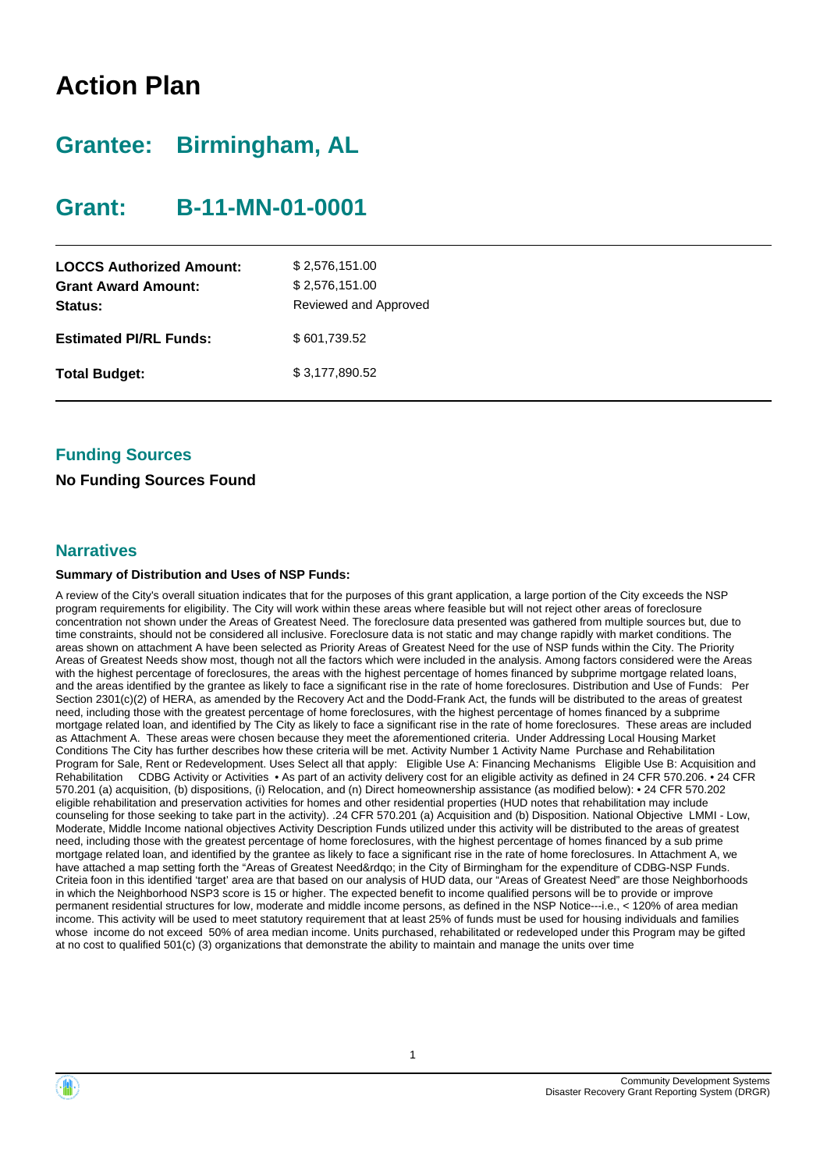# **Action Plan**

# **Grantee: Birmingham, AL**

# **Grant: B-11-MN-01-0001**

| <b>LOCCS Authorized Amount:</b><br><b>Grant Award Amount:</b><br>Status: | \$2,576,151.00<br>\$2,576,151.00<br>Reviewed and Approved |
|--------------------------------------------------------------------------|-----------------------------------------------------------|
| <b>Estimated PI/RL Funds:</b>                                            | \$601,739.52                                              |
| <b>Total Budget:</b>                                                     | \$3,177,890.52                                            |

## **Funding Sources**

### **No Funding Sources Found**

#### **Narratives**

#### **Summary of Distribution and Uses of NSP Funds:**

A review of the City's overall situation indicates that for the purposes of this grant application, a large portion of the City exceeds the NSP program requirements for eligibility. The City will work within these areas where feasible but will not reject other areas of foreclosure concentration not shown under the Areas of Greatest Need. The foreclosure data presented was gathered from multiple sources but, due to time constraints, should not be considered all inclusive. Foreclosure data is not static and may change rapidly with market conditions. The areas shown on attachment A have been selected as Priority Areas of Greatest Need for the use of NSP funds within the City. The Priority Areas of Greatest Needs show most, though not all the factors which were included in the analysis. Among factors considered were the Areas with the highest percentage of foreclosures, the areas with the highest percentage of homes financed by subprime mortgage related loans, and the areas identified by the grantee as likely to face a significant rise in the rate of home foreclosures. Distribution and Use of Funds: Per Section 2301(c)(2) of HERA, as amended by the Recovery Act and the Dodd-Frank Act, the funds will be distributed to the areas of greatest need, including those with the greatest percentage of home foreclosures, with the highest percentage of homes financed by a subprime mortgage related loan, and identified by The City as likely to face a significant rise in the rate of home foreclosures. These areas are included as Attachment A. These areas were chosen because they meet the aforementioned criteria. Under Addressing Local Housing Market Conditions The City has further describes how these criteria will be met. Activity Number 1 Activity Name Purchase and Rehabilitation Program for Sale, Rent or Redevelopment. Uses Select all that apply: Eligible Use A: Financing Mechanisms Eligible Use B: Acquisition and Rehabilitation CDBG Activity or Activities • As part of an activity delivery cost for an eligible activity as defined in 24 CFR 570.206. • 24 CFR 570.201 (a) acquisition, (b) dispositions, (i) Relocation, and (n) Direct homeownership assistance (as modified below): • 24 CFR 570.202 eligible rehabilitation and preservation activities for homes and other residential properties (HUD notes that rehabilitation may include counseling for those seeking to take part in the activity). .24 CFR 570.201 (a) Acquisition and (b) Disposition. National Objective LMMI - Low, Moderate, Middle Income national objectives Activity Description Funds utilized under this activity will be distributed to the areas of greatest need, including those with the greatest percentage of home foreclosures, with the highest percentage of homes financed by a sub prime mortgage related loan, and identified by the grantee as likely to face a significant rise in the rate of home foreclosures. In Attachment A, we have attached a map setting forth the "Areas of Greatest Need&rdqo; in the City of Birmingham for the expenditure of CDBG-NSP Funds. Criteia foon in this identified 'target' area are that based on our analysis of HUD data, our "Areas of Greatest Need" are those Neighborhoods in which the Neighborhood NSP3 score is 15 or higher. The expected benefit to income qualified persons will be to provide or improve permanent residential structures for low, moderate and middle income persons, as defined in the NSP Notice---i.e., < 120% of area median income. This activity will be used to meet statutory requirement that at least 25% of funds must be used for housing individuals and families whose income do not exceed 50% of area median income. Units purchased, rehabilitated or redeveloped under this Program may be gifted at no cost to qualified 501(c) (3) organizations that demonstrate the ability to maintain and manage the units over time

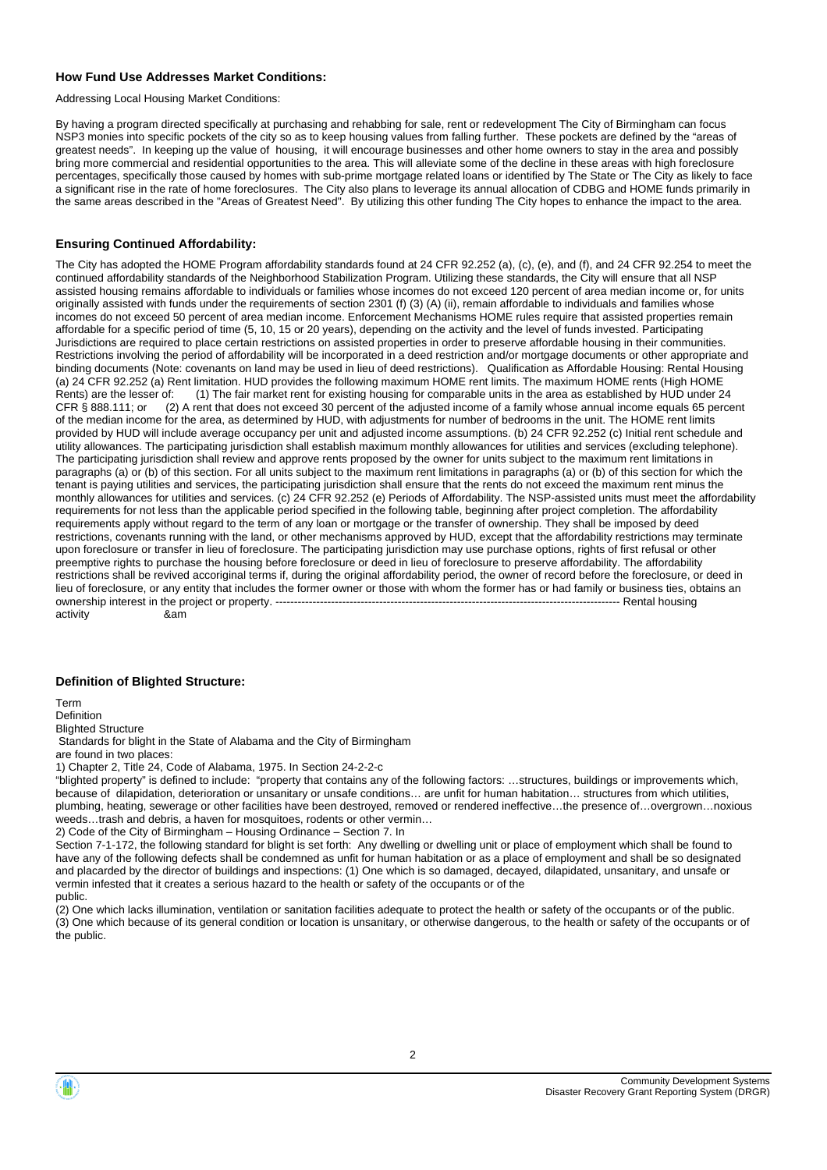#### **How Fund Use Addresses Market Conditions:**

Addressing Local Housing Market Conditions:

By having a program directed specifically at purchasing and rehabbing for sale, rent or redevelopment The City of Birmingham can focus NSP3 monies into specific pockets of the city so as to keep housing values from falling further. These pockets are defined by the "areas of greatest needs". In keeping up the value of housing, it will encourage businesses and other home owners to stay in the area and possibly bring more commercial and residential opportunities to the area. This will alleviate some of the decline in these areas with high foreclosure percentages, specifically those caused by homes with sub-prime mortgage related loans or identified by The State or The City as likely to face a significant rise in the rate of home foreclosures. The City also plans to leverage its annual allocation of CDBG and HOME funds primarily in the same areas described in the "Areas of Greatest Need". By utilizing this other funding The City hopes to enhance the impact to the area.

#### **Ensuring Continued Affordability:**

The City has adopted the HOME Program affordability standards found at 24 CFR 92.252 (a), (c), (e), and (f), and 24 CFR 92.254 to meet the continued affordability standards of the Neighborhood Stabilization Program. Utilizing these standards, the City will ensure that all NSP assisted housing remains affordable to individuals or families whose incomes do not exceed 120 percent of area median income or, for units originally assisted with funds under the requirements of section 2301 (f) (3) (A) (ii), remain affordable to individuals and families whose incomes do not exceed 50 percent of area median income. Enforcement Mechanisms HOME rules require that assisted properties remain affordable for a specific period of time (5, 10, 15 or 20 years), depending on the activity and the level of funds invested. Participating Jurisdictions are required to place certain restrictions on assisted properties in order to preserve affordable housing in their communities. Restrictions involving the period of affordability will be incorporated in a deed restriction and/or mortgage documents or other appropriate and binding documents (Note: covenants on land may be used in lieu of deed restrictions). Qualification as Affordable Housing: Rental Housing (a) 24 CFR 92.252 (a) Rent limitation. HUD provides the following maximum HOME rent limits. The maximum HOME rents (High HOME Rents) are the lesser of: (1) The fair market rent for existing housing for comparable units in the area as established by HUD under 24<br>CFR § 888.111: or (2) A rent that does not exceed 30 percent of the adjusted income of (2) A rent that does not exceed 30 percent of the adjusted income of a family whose annual income equals 65 percent of the median income for the area, as determined by HUD, with adjustments for number of bedrooms in the unit. The HOME rent limits provided by HUD will include average occupancy per unit and adjusted income assumptions. (b) 24 CFR 92.252 (c) Initial rent schedule and utility allowances. The participating jurisdiction shall establish maximum monthly allowances for utilities and services (excluding telephone). The participating jurisdiction shall review and approve rents proposed by the owner for units subject to the maximum rent limitations in paragraphs (a) or (b) of this section. For all units subject to the maximum rent limitations in paragraphs (a) or (b) of this section for which the tenant is paying utilities and services, the participating jurisdiction shall ensure that the rents do not exceed the maximum rent minus the monthly allowances for utilities and services. (c) 24 CFR 92.252 (e) Periods of Affordability. The NSP-assisted units must meet the affordability requirements for not less than the applicable period specified in the following table, beginning after project completion. The affordability requirements apply without regard to the term of any loan or mortgage or the transfer of ownership. They shall be imposed by deed restrictions, covenants running with the land, or other mechanisms approved by HUD, except that the affordability restrictions may terminate upon foreclosure or transfer in lieu of foreclosure. The participating jurisdiction may use purchase options, rights of first refusal or other preemptive rights to purchase the housing before foreclosure or deed in lieu of foreclosure to preserve affordability. The affordability restrictions shall be revived accoriginal terms if, during the original affordability period, the owner of record before the foreclosure, or deed in lieu of foreclosure, or any entity that includes the former owner or those with whom the former has or had family or business ties, obtains an ownership interest in the project or property. -------------------------------ownership interest in the project or property. --------------------------------------------------------------------------------------------- Rental housing activity

#### **Definition of Blighted Structure:**

Term

Definition

Blighted Structure

Standards for blight in the State of Alabama and the City of Birmingham

are found in two places: 1) Chapter 2, Title 24, Code of Alabama, 1975. In Section 24-2-2-c

"blighted property" is defined to include: "property that contains any of the following factors: …structures, buildings or improvements which, because of dilapidation, deterioration or unsanitary or unsafe conditions… are unfit for human habitation… structures from which utilities, plumbing, heating, sewerage or other facilities have been destroyed, removed or rendered ineffective…the presence of…overgrown…noxious weeds…trash and debris, a haven for mosquitoes, rodents or other vermin…

2) Code of the City of Birmingham – Housing Ordinance – Section 7. In

Section 7-1-172, the following standard for blight is set forth: Any dwelling or dwelling unit or place of employment which shall be found to have any of the following defects shall be condemned as unfit for human habitation or as a place of employment and shall be so designated and placarded by the director of buildings and inspections: (1) One which is so damaged, decayed, dilapidated, unsanitary, and unsafe or vermin infested that it creates a serious hazard to the health or safety of the occupants or of the

public.

(2) One which lacks illumination, ventilation or sanitation facilities adequate to protect the health or safety of the occupants or of the public. (3) One which because of its general condition or location is unsanitary, or otherwise dangerous, to the health or safety of the occupants or of the public.

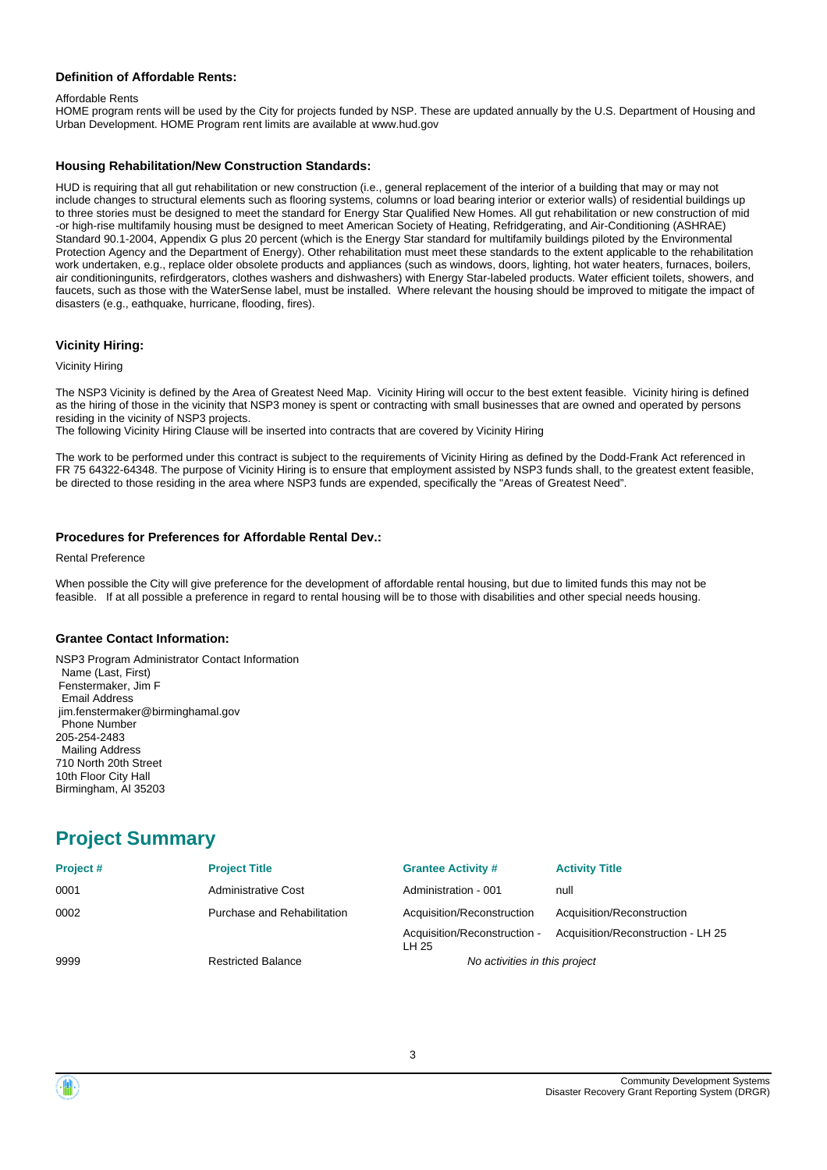#### **Definition of Affordable Rents:**

#### Affordable Rents

HOME program rents will be used by the City for projects funded by NSP. These are updated annually by the U.S. Department of Housing and Urban Development. HOME Program rent limits are available at www.hud.gov

#### **Housing Rehabilitation/New Construction Standards:**

HUD is requiring that all gut rehabilitation or new construction (i.e., general replacement of the interior of a building that may or may not include changes to structural elements such as flooring systems, columns or load bearing interior or exterior walls) of residential buildings up to three stories must be designed to meet the standard for Energy Star Qualified New Homes. All gut rehabilitation or new construction of mid -or high-rise multifamily housing must be designed to meet American Society of Heating, Refridgerating, and Air-Conditioning (ASHRAE) Standard 90.1-2004, Appendix G plus 20 percent (which is the Energy Star standard for multifamily buildings piloted by the Environmental Protection Agency and the Department of Energy). Other rehabilitation must meet these standards to the extent applicable to the rehabilitation work undertaken, e.g., replace older obsolete products and appliances (such as windows, doors, lighting, hot water heaters, furnaces, boilers, air conditioningunits, refirdgerators, clothes washers and dishwashers) with Energy Star-labeled products. Water efficient toilets, showers, and faucets, such as those with the WaterSense label, must be installed. Where relevant the housing should be improved to mitigate the impact of disasters (e.g., eathquake, hurricane, flooding, fires).

#### **Vicinity Hiring:**

#### Vicinity Hiring

The NSP3 Vicinity is defined by the Area of Greatest Need Map. Vicinity Hiring will occur to the best extent feasible. Vicinity hiring is defined as the hiring of those in the vicinity that NSP3 money is spent or contracting with small businesses that are owned and operated by persons residing in the vicinity of NSP3 projects.

The following Vicinity Hiring Clause will be inserted into contracts that are covered by Vicinity Hiring

The work to be performed under this contract is subject to the requirements of Vicinity Hiring as defined by the Dodd-Frank Act referenced in FR 75 64322-64348. The purpose of Vicinity Hiring is to ensure that employment assisted by NSP3 funds shall, to the greatest extent feasible, be directed to those residing in the area where NSP3 funds are expended, specifically the "Areas of Greatest Need".

#### **Procedures for Preferences for Affordable Rental Dev.:**

#### Rental Preference

When possible the City will give preference for the development of affordable rental housing, but due to limited funds this may not be feasible. If at all possible a preference in regard to rental housing will be to those with disabilities and other special needs housing.

#### **Grantee Contact Information:**

NSP3 Program Administrator Contact Information Name (Last, First) Fenstermaker, Jim F Email Address jim.fenstermaker@birminghamal.gov Phone Number 205-254-2483 Mailing Address 710 North 20th Street 10th Floor City Hall Birmingham, Al 35203

## **Project Summary**

| Project# | <b>Project Title</b>        | <b>Grantee Activity #</b>             | <b>Activity Title</b>              |
|----------|-----------------------------|---------------------------------------|------------------------------------|
| 0001     | Administrative Cost         | Administration - 001                  | null                               |
| 0002     | Purchase and Rehabilitation | Acquisition/Reconstruction            | Acquisition/Reconstruction         |
|          |                             | Acquisition/Reconstruction -<br>LH 25 | Acquisition/Reconstruction - LH 25 |
| 9999     | <b>Restricted Balance</b>   | No activities in this project         |                                    |

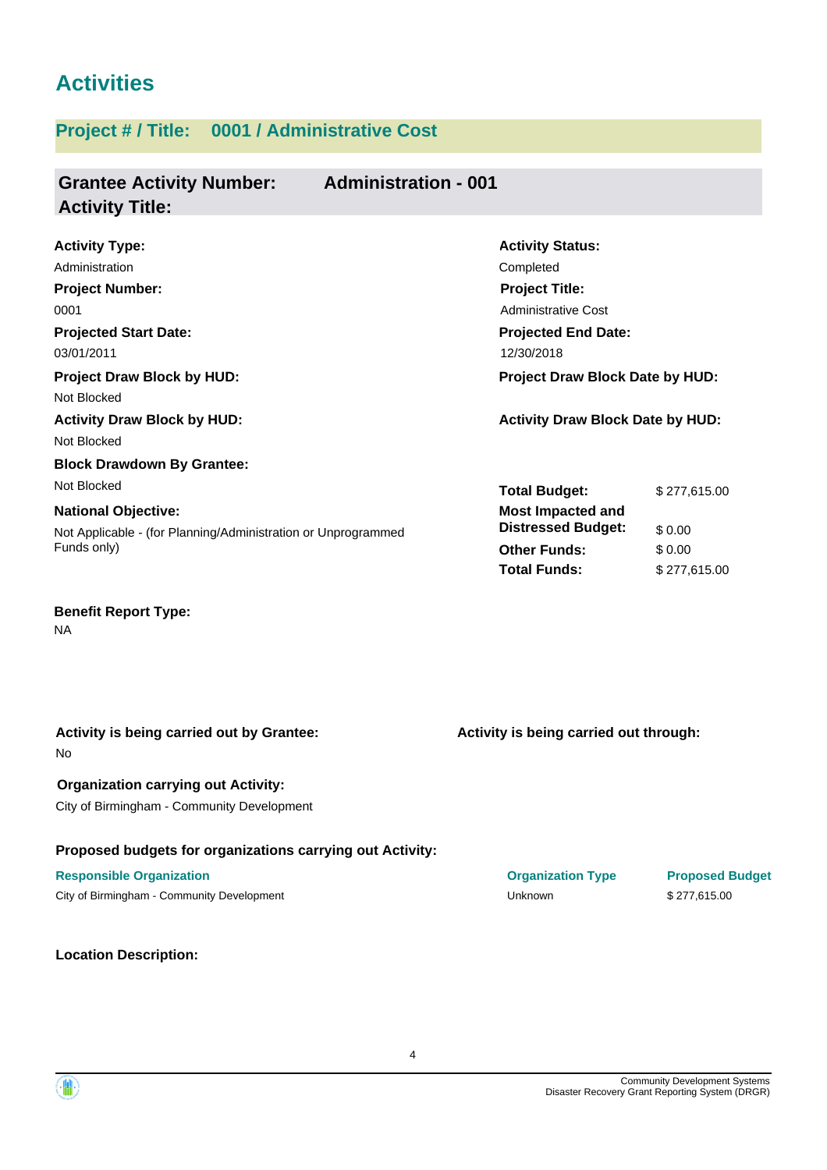# **Activities**

## **Project # / Title: 0001 / Administrative Cost**

#### **Grantee Activity Number: Administration - 001 Activity Title:**

| <b>Activity Type:</b>                                         | <b>Activity Status:</b>                 |              |
|---------------------------------------------------------------|-----------------------------------------|--------------|
| Administration                                                | Completed                               |              |
| <b>Project Number:</b>                                        | <b>Project Title:</b>                   |              |
| 0001                                                          | Administrative Cost                     |              |
| <b>Projected Start Date:</b>                                  | <b>Projected End Date:</b>              |              |
| 03/01/2011                                                    | 12/30/2018                              |              |
| <b>Project Draw Block by HUD:</b>                             | <b>Project Draw Block Date by HUD:</b>  |              |
| Not Blocked                                                   |                                         |              |
| <b>Activity Draw Block by HUD:</b>                            | <b>Activity Draw Block Date by HUD:</b> |              |
| Not Blocked                                                   |                                         |              |
| <b>Block Drawdown By Grantee:</b>                             |                                         |              |
| Not Blocked                                                   | <b>Total Budget:</b>                    | \$277,615.00 |
| <b>National Objective:</b>                                    | <b>Most Impacted and</b>                |              |
| Not Applicable - (for Planning/Administration or Unprogrammed | <b>Distressed Budget:</b>               | \$0.00       |
| Funds only)                                                   | <b>Other Funds:</b>                     | \$0.00       |
|                                                               | <b>Total Funds:</b>                     | \$277,615.00 |
|                                                               |                                         |              |

**Benefit Report Type:**

NA

| Activity is being carried out by Grantee:<br>N <sub>o</sub> | Activity is being carried out through: |                        |
|-------------------------------------------------------------|----------------------------------------|------------------------|
| <b>Organization carrying out Activity:</b>                  |                                        |                        |
| City of Birmingham - Community Development                  |                                        |                        |
| Proposed budgets for organizations carrying out Activity:   |                                        |                        |
| <b>Responsible Organization</b>                             | <b>Organization Type</b>               | <b>Proposed Budget</b> |
| City of Birmingham - Community Development                  | Unknown                                | \$277,615.00           |
|                                                             |                                        |                        |
|                                                             |                                        |                        |

**Location Description:**

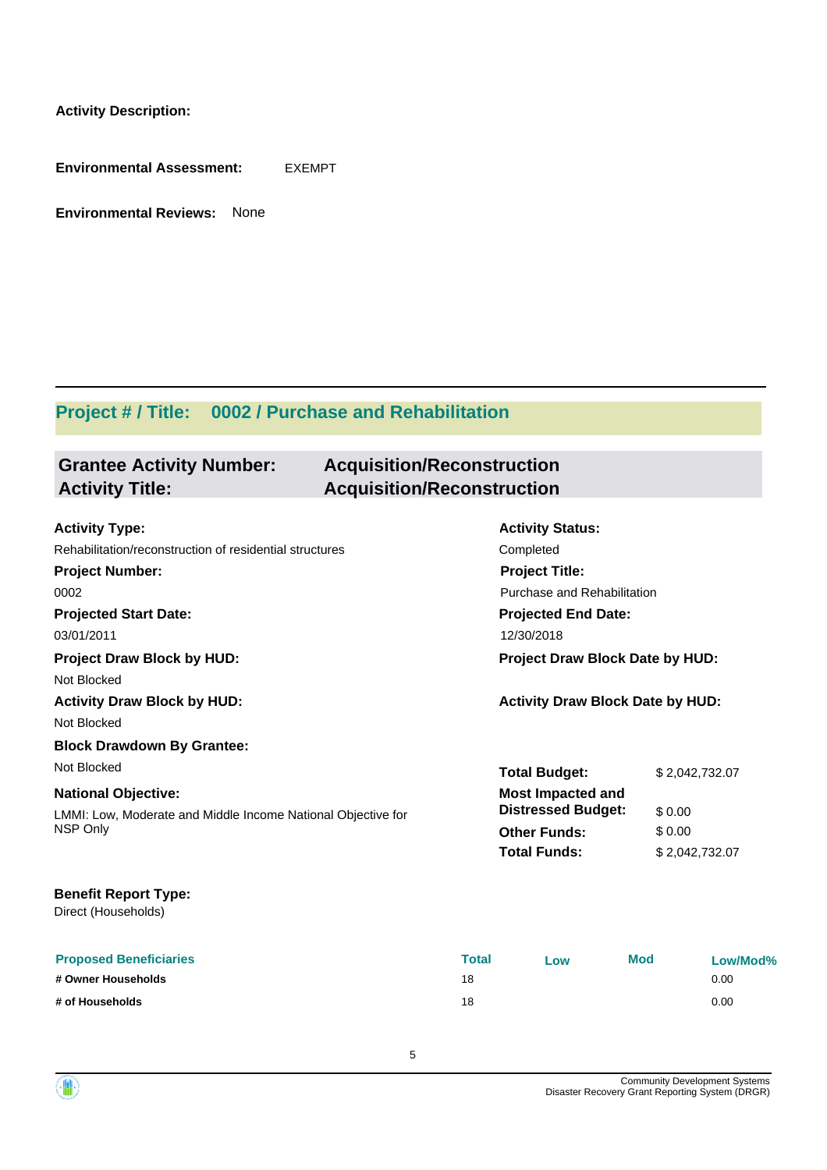**Activity Description:**

**Environmental Assessment:** EXEMPT

**Environmental Reviews:** None

**Grantee Activity Number:**

## **Project # / Title: 0002 / Purchase and Rehabilitation**

## **Acquisition/Reconstruction Activity Title: Acquisition/Reconstruction**

| <b>Activity Type:</b>                                        |                                        | <b>Activity Status:</b>                 |            |                |  |  |
|--------------------------------------------------------------|----------------------------------------|-----------------------------------------|------------|----------------|--|--|
| Rehabilitation/reconstruction of residential structures      | Completed<br><b>Project Title:</b>     |                                         |            |                |  |  |
| <b>Project Number:</b>                                       |                                        |                                         |            |                |  |  |
| 0002                                                         |                                        | Purchase and Rehabilitation             |            |                |  |  |
| <b>Projected Start Date:</b>                                 |                                        | <b>Projected End Date:</b>              |            |                |  |  |
| 03/01/2011                                                   |                                        | 12/30/2018                              |            |                |  |  |
| <b>Project Draw Block by HUD:</b>                            | <b>Project Draw Block Date by HUD:</b> |                                         |            |                |  |  |
| Not Blocked                                                  |                                        |                                         |            |                |  |  |
| <b>Activity Draw Block by HUD:</b>                           |                                        | <b>Activity Draw Block Date by HUD:</b> |            |                |  |  |
| Not Blocked                                                  |                                        |                                         |            |                |  |  |
| <b>Block Drawdown By Grantee:</b>                            |                                        |                                         |            |                |  |  |
| Not Blocked                                                  |                                        | <b>Total Budget:</b>                    |            | \$2,042,732.07 |  |  |
| <b>National Objective:</b>                                   |                                        | <b>Most Impacted and</b>                |            |                |  |  |
| LMMI: Low, Moderate and Middle Income National Objective for |                                        | <b>Distressed Budget:</b>               | \$0.00     |                |  |  |
| NSP Only                                                     |                                        | <b>Other Funds:</b>                     | \$0.00     |                |  |  |
|                                                              |                                        | <b>Total Funds:</b>                     |            | \$2,042,732.07 |  |  |
| <b>Benefit Report Type:</b>                                  |                                        |                                         |            |                |  |  |
| Direct (Households)                                          |                                        |                                         |            |                |  |  |
| <b>Proposed Beneficiaries</b>                                | <b>Total</b>                           | Low                                     | <b>Mod</b> | Low/Mod%       |  |  |
| # Owner Households                                           | 18                                     |                                         |            | 0.00           |  |  |

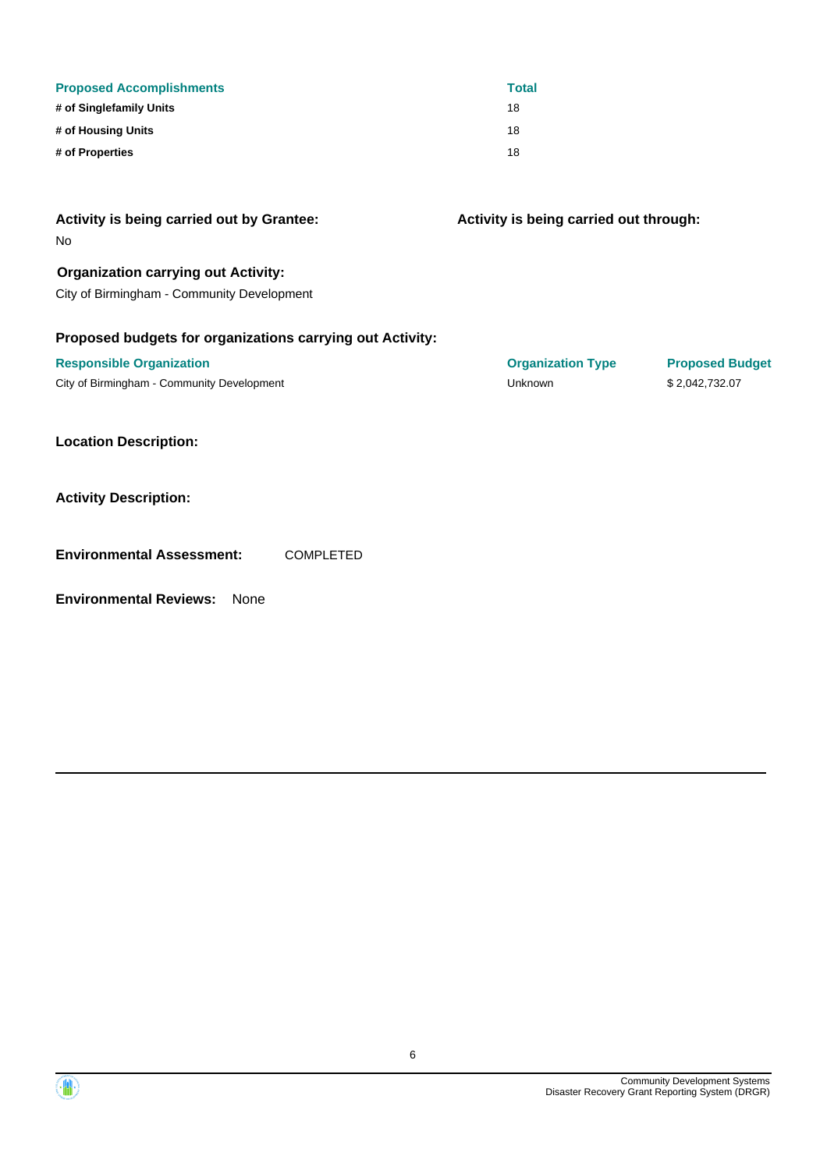| <b>Proposed Accomplishments</b> | <b>Total</b> |
|---------------------------------|--------------|
| # of Singlefamily Units         | 18           |
| # of Housing Units              | 18           |
| # of Properties                 | 18           |

| Activity is being carried out by Grantee:<br>No           | Activity is being carried out through: |                        |
|-----------------------------------------------------------|----------------------------------------|------------------------|
| <b>Organization carrying out Activity:</b>                |                                        |                        |
| City of Birmingham - Community Development                |                                        |                        |
| Proposed budgets for organizations carrying out Activity: |                                        |                        |
| <b>Responsible Organization</b>                           | <b>Organization Type</b>               | <b>Proposed Budget</b> |
| City of Birmingham - Community Development                | Unknown                                | \$2,042,732.07         |
| <b>Location Description:</b>                              |                                        |                        |
| <b>Activity Description:</b>                              |                                        |                        |
| <b>Environmental Assessment:</b><br><b>COMPLETED</b>      |                                        |                        |

**Environmental Reviews:** None

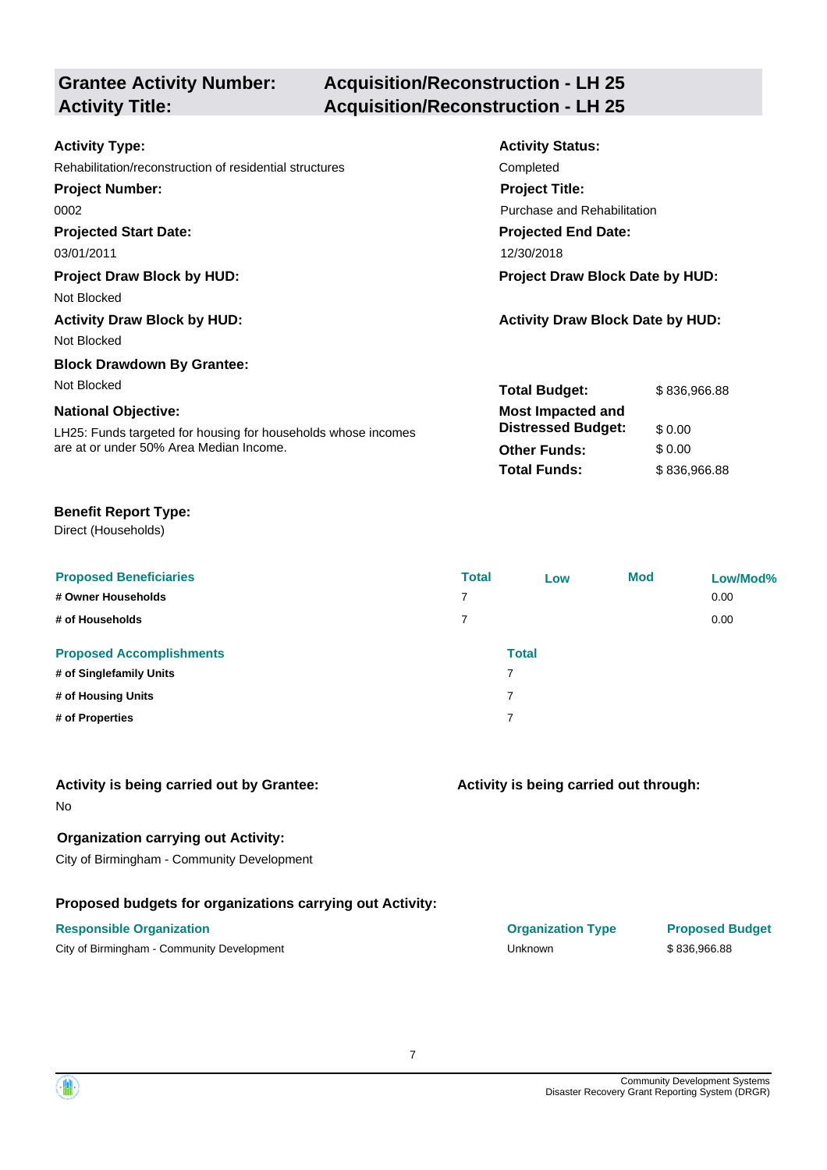# **Grantee Activity Number:**

## **Acquisition/Reconstruction - LH 25 Activity Title: Acquisition/Reconstruction - LH 25**

| <b>Activity Type:</b>                                         | <b>Activity Status:</b>                 |              |
|---------------------------------------------------------------|-----------------------------------------|--------------|
| Rehabilitation/reconstruction of residential structures       | Completed                               |              |
| <b>Project Number:</b>                                        | <b>Project Title:</b>                   |              |
| 0002                                                          | Purchase and Rehabilitation             |              |
| <b>Projected Start Date:</b>                                  | <b>Projected End Date:</b>              |              |
| 03/01/2011                                                    | 12/30/2018                              |              |
| <b>Project Draw Block by HUD:</b>                             | Project Draw Block Date by HUD:         |              |
| Not Blocked                                                   |                                         |              |
| <b>Activity Draw Block by HUD:</b>                            | <b>Activity Draw Block Date by HUD:</b> |              |
| Not Blocked                                                   |                                         |              |
| <b>Block Drawdown By Grantee:</b>                             |                                         |              |
| Not Blocked                                                   | <b>Total Budget:</b>                    | \$836,966.88 |
| <b>National Objective:</b>                                    | <b>Most Impacted and</b>                |              |
| LH25: Funds targeted for housing for households whose incomes | <b>Distressed Budget:</b>               | \$0.00       |
| are at or under 50% Area Median Income.                       | <b>Other Funds:</b>                     | \$0.00       |
|                                                               | <b>Total Funds:</b>                     | \$836,966.88 |
|                                                               |                                         |              |

## **Benefit Report Type:**

Direct (Households)

| <b>Proposed Beneficiaries</b><br># Owner Households<br># of Households | <b>Total</b><br>7<br>7 | Low                      | <b>Mod</b> | Low/Mod%<br>0.00<br>0.00 |
|------------------------------------------------------------------------|------------------------|--------------------------|------------|--------------------------|
| <b>Proposed Accomplishments</b>                                        |                        | <b>Total</b>             |            |                          |
| # of Singlefamily Units                                                |                        | 7                        |            |                          |
| # of Housing Units                                                     |                        | $\overline{\phantom{a}}$ |            |                          |
| # of Properties                                                        |                        | 7                        |            |                          |

| Activity is being carried out by Grantee:<br>N <sub>0</sub> | Activity is being carried out through: |
|-------------------------------------------------------------|----------------------------------------|
| <b>Organization carrying out Activity:</b>                  |                                        |
| City of Birmingham - Community Development                  |                                        |
| Proposed budgets for organizations carrying out Activity:   |                                        |

#### **Responsible Organization COVID-10 COVID-10 Organization Type Proposed Budget**

City of Birmingham - Community Development Community Development Community Development Community Development Community Development

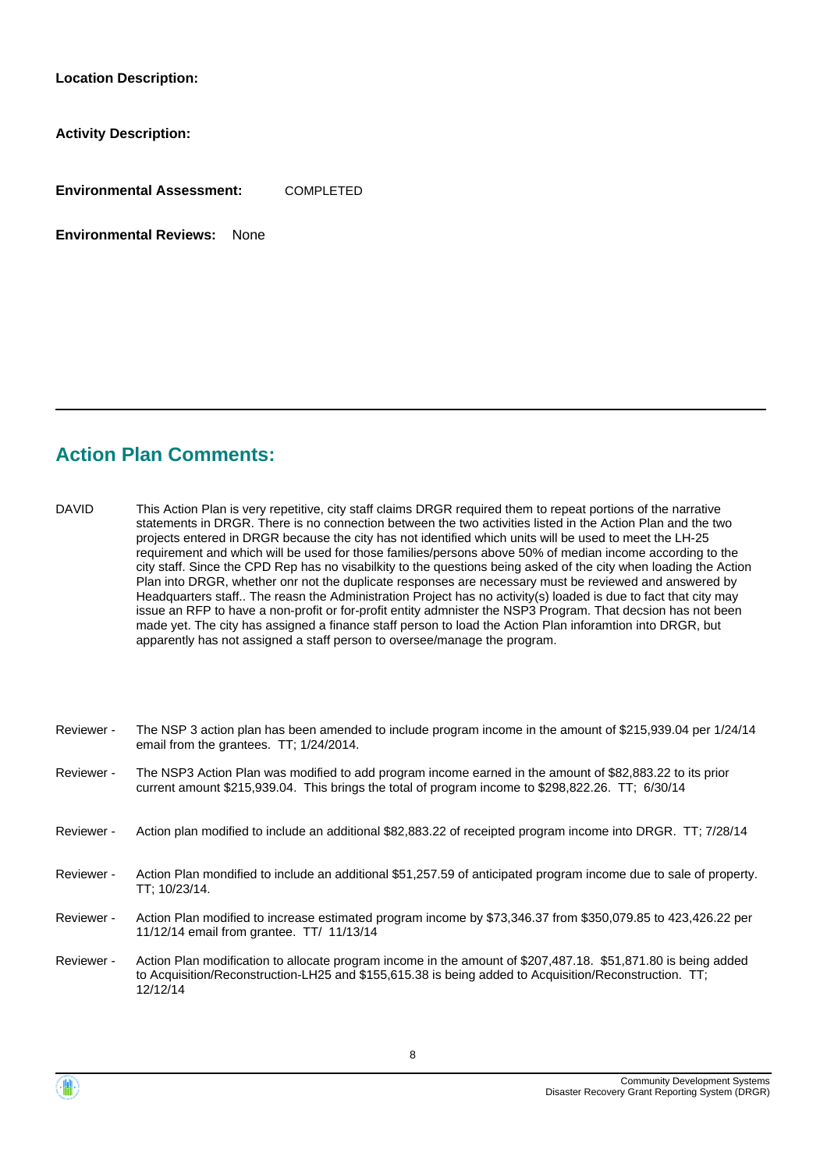**Location Description:**

**Activity Description:**

**Environmental Assessment:** COMPLETED

**Environmental Reviews:** None

## **Action Plan Comments:**

12/12/14

This Action Plan is very repetitive, city staff claims DRGR required them to repeat portions of the narrative statements in DRGR. There is no connection between the two activities listed in the Action Plan and the two projects entered in DRGR because the city has not identified which units will be used to meet the LH-25 requirement and which will be used for those families/persons above 50% of median income according to the city staff. Since the CPD Rep has no visabilkity to the questions being asked of the city when loading the Action Plan into DRGR, whether onr not the duplicate responses are necessary must be reviewed and answered by Headquarters staff.. The reasn the Administration Project has no activity(s) loaded is due to fact that city may issue an RFP to have a non-profit or for-profit entity admnister the NSP3 Program. That decsion has not been made yet. The city has assigned a finance staff person to load the Action Plan inforamtion into DRGR, but apparently has not assigned a staff person to oversee/manage the program. DAVID

| Reviewer - | The NSP 3 action plan has been amended to include program income in the amount of \$215,939.04 per 1/24/14<br>email from the grantees. TT; 1/24/2014.                                                                  |
|------------|------------------------------------------------------------------------------------------------------------------------------------------------------------------------------------------------------------------------|
| Reviewer - | The NSP3 Action Plan was modified to add program income earned in the amount of \$82,883.22 to its prior<br>current amount \$215,939.04. This brings the total of program income to \$298,822.26. TT; 6/30/14          |
| Reviewer - | Action plan modified to include an additional \$82,883.22 of receipted program income into DRGR. TT: 7/28/14                                                                                                           |
| Reviewer - | Action Plan mondified to include an additional \$51,257.59 of anticipated program income due to sale of property.<br>TT: 10/23/14.                                                                                     |
| Reviewer - | Action Plan modified to increase estimated program income by \$73,346.37 from \$350,079.85 to 423,426.22 per<br>11/12/14 email from grantee. TT/ 11/13/14                                                              |
| Reviewer - | Action Plan modification to allocate program income in the amount of \$207,487.18. \$51,871.80 is being added<br>to Acquisition/Reconstruction-LH25 and \$155,615.38 is being added to Acquisition/Reconstruction. TT; |